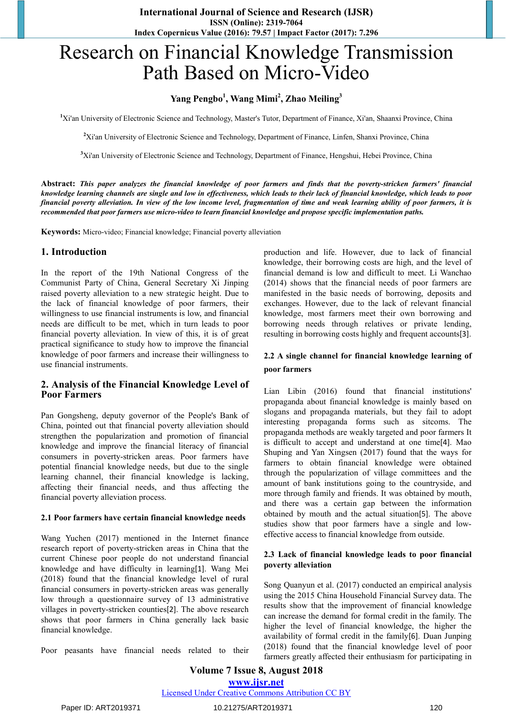# Research on Financial Knowledge Transmission Path Based on Micro-Video

# **Yang Pengbo1 , Wang Mimi<sup>2</sup> , Zhao Meiling<sup>3</sup>**

<sup>1</sup>Xi'an University of Electronic Science and Technology, Master's Tutor, Department of Finance, Xi'an, Shaanxi Province, China

**2** Xi'an University of Electronic Science and Technology, Department of Finance, Linfen, Shanxi Province, China

**3** Xi'an University of Electronic Science and Technology, Department of Finance, Hengshui, Hebei Province, China

**Abstract:** *This paper analyzes the financial knowledge of poor farmers and finds that the poverty-stricken farmers' financial knowledge learning channels are single and low in effectiveness, which leads to their lack of financial knowledge, which leads to poor financial poverty alleviation. In view of the low income level, fragmentation of time and weak learning ability of poor farmers, it is recommended that poor farmers use micro-video to learn financial knowledge and propose specific implementation paths.*

**Keywords:** Micro-video; Financial knowledge; Financial poverty alleviation

# **1. Introduction**

In the report of the 19th National Congress of the Communist Party of China, General Secretary Xi Jinping raised poverty alleviation to a new strategic height. Due to the lack of financial knowledge of poor farmers, their willingness to use financial instruments is low, and financial needs are difficult to be met, which in turn leads to poor financial poverty alleviation. In view of this, it is of great practical significance to study how to improve the financial knowledge of poor farmers and increase their willingness to use financial instruments.

## **2. Analysis of the Financial Knowledge Level of Poor Farmers**

Pan Gongsheng, deputy governor of the People's Bank of China, pointed out that financial poverty alleviation should strengthen the popularization and promotion of financial knowledge and improve the financial literacy of financial consumers in poverty-stricken areas. Poor farmers have potential financial knowledge needs, but due to the single learning channel, their financial knowledge is lacking, affecting their financial needs, and thus affecting the financial poverty alleviation process.

#### **2.1 Poor farmers have certain financial knowledge needs**

Wang Yuchen (2017) mentioned in the Internet finance research report of poverty-stricken areas in China that the current Chinese poor people do not understand financial knowledge and have difficulty in learning[1]. Wang Mei (2018) found that the financial knowledge level of rural financial consumers in poverty-stricken areas was generally low through a questionnaire survey of 13 administrative villages in poverty-stricken counties[2]. The above research shows that poor farmers in China generally lack basic financial knowledge.

Poor peasants have financial needs related to their

production and life. However, due to lack of financial knowledge, their borrowing costs are high, and the level of financial demand is low and difficult to meet. Li Wanchao (2014) shows that the financial needs of poor farmers are manifested in the basic needs of borrowing, deposits and exchanges. However, due to the lack of relevant financial knowledge, most farmers meet their own borrowing and borrowing needs through relatives or private lending, resulting in borrowing costs highly and frequent accounts[3].

## **2.2 A single channel for financial knowledge learning of poor farmers**

Lian Libin (2016) found that financial institutions' propaganda about financial knowledge is mainly based on slogans and propaganda materials, but they fail to adopt interesting propaganda forms such as sitcoms. The propaganda methods are weakly targeted and poor farmers It is difficult to accept and understand at one time[4]. Mao Shuping and Yan Xingsen (2017) found that the ways for farmers to obtain financial knowledge were obtained through the popularization of village committees and the amount of bank institutions going to the countryside, and more through family and friends. It was obtained by mouth, and there was a certain gap between the information obtained by mouth and the actual situation[5]. The above studies show that poor farmers have a single and loweffective access to financial knowledge from outside.

#### **2.3 Lack of financial knowledge leads to poor financial poverty alleviation**

Song Quanyun et al. (2017) conducted an empirical analysis using the 2015 China Household Financial Survey data. The results show that the improvement of financial knowledge can increase the demand for formal credit in the family. The higher the level of financial knowledge, the higher the availability of formal credit in the family[6]. Duan Junping (2018) found that the financial knowledge level of poor farmers greatly affected their enthusiasm for participating in

**Volume 7 Issue 8, August 2018 www.ijsr.net** Licensed Under Creative Commons Attribution CC BY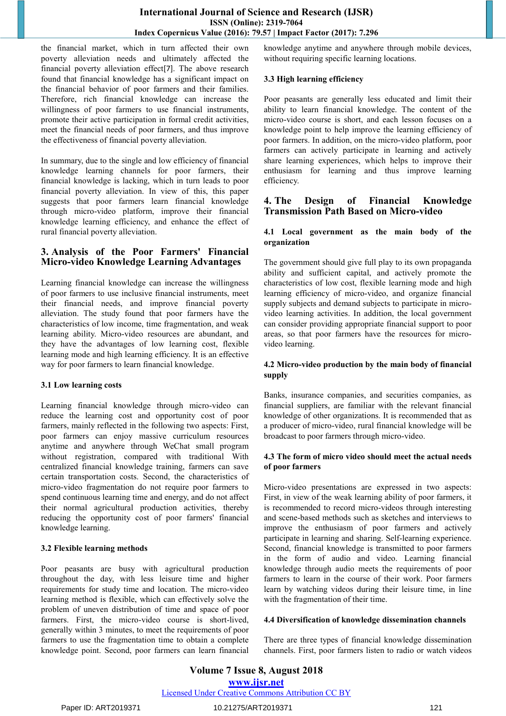the financial market, which in turn affected their own poverty alleviation needs and ultimately affected the financial poverty alleviation effect[7]. The above research found that financial knowledge has a significant impact on the financial behavior of poor farmers and their families. Therefore, rich financial knowledge can increase the willingness of poor farmers to use financial instruments, promote their active participation in formal credit activities, meet the financial needs of poor farmers, and thus improve the effectiveness of financial poverty alleviation.

In summary, due to the single and low efficiency of financial knowledge learning channels for poor farmers, their financial knowledge is lacking, which in turn leads to poor financial poverty alleviation. In view of this, this paper suggests that poor farmers learn financial knowledge through micro-video platform, improve their financial knowledge learning efficiency, and enhance the effect of rural financial poverty alleviation.

## **3. Analysis of the Poor Farmers' Financial Micro-video Knowledge Learning Advantages**

Learning financial knowledge can increase the willingness of poor farmers to use inclusive financial instruments, meet their financial needs, and improve financial poverty alleviation. The study found that poor farmers have the characteristics of low income, time fragmentation, and weak learning ability. Micro-video resources are abundant, and they have the advantages of low learning cost, flexible learning mode and high learning efficiency. It is an effective way for poor farmers to learn financial knowledge.

### **3.1 Low learning costs**

Learning financial knowledge through micro-video can reduce the learning cost and opportunity cost of poor farmers, mainly reflected in the following two aspects: First, poor farmers can enjoy massive curriculum resources anytime and anywhere through WeChat small program without registration, compared with traditional With centralized financial knowledge training, farmers can save certain transportation costs. Second, the characteristics of micro-video fragmentation do not require poor farmers to spend continuous learning time and energy, and do not affect their normal agricultural production activities, thereby reducing the opportunity cost of poor farmers' financial knowledge learning.

#### **3.2 Flexible learning methods**

Poor peasants are busy with agricultural production throughout the day, with less leisure time and higher requirements for study time and location. The micro-video learning method is flexible, which can effectively solve the problem of uneven distribution of time and space of poor farmers. First, the micro-video course is short-lived, generally within 3 minutes, to meet the requirements of poor farmers to use the fragmentation time to obtain a complete knowledge point. Second, poor farmers can learn financial knowledge anytime and anywhere through mobile devices, without requiring specific learning locations.

## **3.3 High learning efficiency**

Poor peasants are generally less educated and limit their ability to learn financial knowledge. The content of the micro-video course is short, and each lesson focuses on a knowledge point to help improve the learning efficiency of poor farmers. In addition, on the micro-video platform, poor farmers can actively participate in learning and actively share learning experiences, which helps to improve their enthusiasm for learning and thus improve learning efficiency.

## **4. The Design of Financial Knowledge Transmission Path Based on Micro-video**

#### **4.1 Local government as the main body of the organization**

The government should give full play to its own propaganda ability and sufficient capital, and actively promote the characteristics of low cost, flexible learning mode and high learning efficiency of micro-video, and organize financial supply subjects and demand subjects to participate in microvideo learning activities. In addition, the local government can consider providing appropriate financial support to poor areas, so that poor farmers have the resources for microvideo learning.

#### **4.2 Micro-video production by the main body of financial supply**

Banks, insurance companies, and securities companies, as financial suppliers, are familiar with the relevant financial knowledge of other organizations. It is recommended that as a producer of micro-video, rural financial knowledge will be broadcast to poor farmers through micro-video.

#### **4.3 The form of micro video should meet the actual needs of poor farmers**

Micro-video presentations are expressed in two aspects: First, in view of the weak learning ability of poor farmers, it is recommended to record micro-videos through interesting and scene-based methods such as sketches and interviews to improve the enthusiasm of poor farmers and actively participate in learning and sharing. Self-learning experience. Second, financial knowledge is transmitted to poor farmers in the form of audio and video. Learning financial knowledge through audio meets the requirements of poor farmers to learn in the course of their work. Poor farmers learn by watching videos during their leisure time, in line with the fragmentation of their time.

### **4.4 Diversification of knowledge dissemination channels**

There are three types of financial knowledge dissemination channels. First, poor farmers listen to radio or watch videos